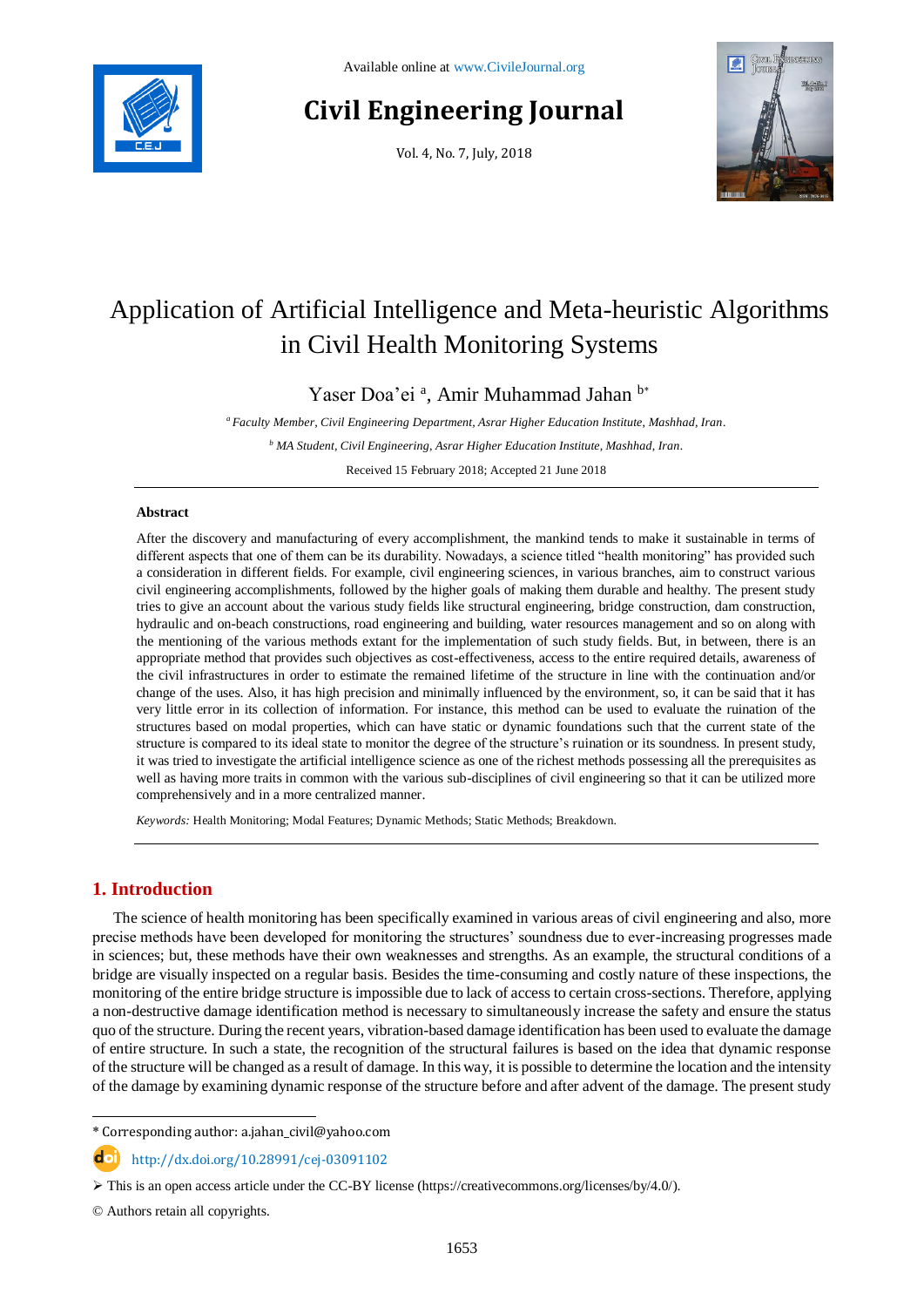

# **Civil Engineering Journal**

Vol. 4, No. 7, July, 2018



# Application of Artificial Intelligence and Meta-heuristic Algorithms in Civil Health Monitoring Systems

Yaser Doa'ei<sup>a</sup>, Amir Muhammad Jahan b\*

*<sup>a</sup> Faculty Member, Civil Engineering Department, Asrar Higher Education Institute, Mashhad, Iran.*

*<sup>b</sup> MA Student, Civil Engineering, Asrar Higher Education Institute, Mashhad, Iran.*

Received 15 February 2018; Accepted 21 June 2018

# **Abstract**

After the discovery and manufacturing of every accomplishment, the mankind tends to make it sustainable in terms of different aspects that one of them can be its durability. Nowadays, a science titled "health monitoring" has provided such a consideration in different fields. For example, civil engineering sciences, in various branches, aim to construct various civil engineering accomplishments, followed by the higher goals of making them durable and healthy. The present study tries to give an account about the various study fields like structural engineering, bridge construction, dam construction, hydraulic and on-beach constructions, road engineering and building, water resources management and so on along with the mentioning of the various methods extant for the implementation of such study fields. But, in between, there is an appropriate method that provides such objectives as cost-effectiveness, access to the entire required details, awareness of the civil infrastructures in order to estimate the remained lifetime of the structure in line with the continuation and/or change of the uses. Also, it has high precision and minimally influenced by the environment, so, it can be said that it has very little error in its collection of information. For instance, this method can be used to evaluate the ruination of the structures based on modal properties, which can have static or dynamic foundations such that the current state of the structure is compared to its ideal state to monitor the degree of the structure's ruination or its soundness. In present study, it was tried to investigate the artificial intelligence science as one of the richest methods possessing all the prerequisites as well as having more traits in common with the various sub-disciplines of civil engineering so that it can be utilized more comprehensively and in a more centralized manner.

*Keywords:* Health Monitoring; Modal Features; Dynamic Methods; Static Methods; Breakdown.

# **1. Introduction**

l

The science of health monitoring has been specifically examined in various areas of civil engineering and also, more precise methods have been developed for monitoring the structures' soundness due to ever-increasing progresses made in sciences; but, these methods have their own weaknesses and strengths. As an example, the structural conditions of a bridge are visually inspected on a regular basis. Besides the time-consuming and costly nature of these inspections, the monitoring of the entire bridge structure is impossible due to lack of access to certain cross-sections. Therefore, applying a non-destructive damage identification method is necessary to simultaneously increase the safety and ensure the status quo of the structure. During the recent years, vibration-based damage identification has been used to evaluate the damage of entire structure. In such a state, the recognition of the structural failures is based on the idea that dynamic response of the structure will be changed as a result of damage. In this way, it is possible to determine the location and the intensity of the damage by examining dynamic response of the structure before and after advent of the damage. The present study

\* Corresponding author: a.jahan\_civil@yahoo.com

http://dx.doi.org/10.28991/cej-03091102

© Authors retain all copyrights.

 $\triangleright$  This is an open access article under the CC-BY license [\(https://creativecommons.org/licenses/by/4.0/\)](https://creativecommons.org/licenses/by/4.0/).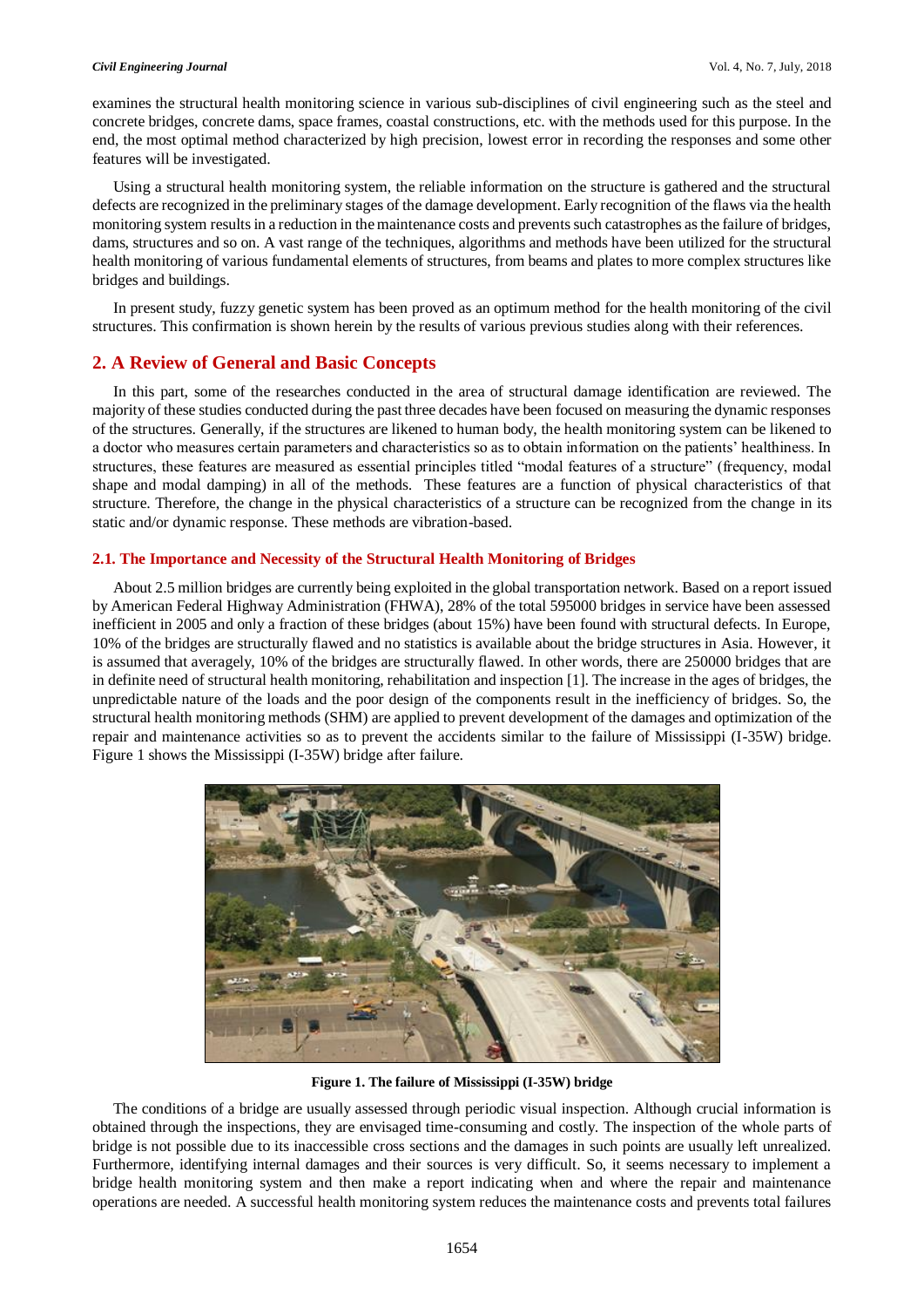examines the structural health monitoring science in various sub-disciplines of civil engineering such as the steel and concrete bridges, concrete dams, space frames, coastal constructions, etc. with the methods used for this purpose. In the end, the most optimal method characterized by high precision, lowest error in recording the responses and some other features will be investigated.

Using a structural health monitoring system, the reliable information on the structure is gathered and the structural defects are recognized in the preliminary stages of the damage development. Early recognition of the flaws via the health monitoring system results in a reduction in the maintenance costs and prevents such catastrophes as the failure of bridges, dams, structures and so on. A vast range of the techniques, algorithms and methods have been utilized for the structural health monitoring of various fundamental elements of structures, from beams and plates to more complex structures like bridges and buildings.

In present study, fuzzy genetic system has been proved as an optimum method for the health monitoring of the civil structures. This confirmation is shown herein by the results of various previous studies along with their references.

# **2. A Review of General and Basic Concepts**

In this part, some of the researches conducted in the area of structural damage identification are reviewed. The majority of these studies conducted during the past three decades have been focused on measuring the dynamic responses of the structures. Generally, if the structures are likened to human body, the health monitoring system can be likened to a doctor who measures certain parameters and characteristics so as to obtain information on the patients' healthiness. In structures, these features are measured as essential principles titled "modal features of a structure" (frequency, modal shape and modal damping) in all of the methods. These features are a function of physical characteristics of that structure. Therefore, the change in the physical characteristics of a structure can be recognized from the change in its static and/or dynamic response. These methods are vibration-based.

# **2.1. The Importance and Necessity of the Structural Health Monitoring of Bridges**

About 2.5 million bridges are currently being exploited in the global transportation network. Based on a report issued by American Federal Highway Administration (FHWA), 28% of the total 595000 bridges in service have been assessed inefficient in 2005 and only a fraction of these bridges (about 15%) have been found with structural defects. In Europe, 10% of the bridges are structurally flawed and no statistics is available about the bridge structures in Asia. However, it is assumed that averagely, 10% of the bridges are structurally flawed. In other words, there are 250000 bridges that are in definite need of structural health monitoring, rehabilitation and inspection [1]. The increase in the ages of bridges, the unpredictable nature of the loads and the poor design of the components result in the inefficiency of bridges. So, the structural health monitoring methods (SHM) are applied to prevent development of the damages and optimization of the repair and maintenance activities so as to prevent the accidents similar to the failure of Mississippi (I-35W) bridge. Figure 1 shows the Mississippi (I-35W) bridge after failure.



**Figure 1. The failure of Mississippi (I-35W) bridge**

The conditions of a bridge are usually assessed through periodic visual inspection. Although crucial information is obtained through the inspections, they are envisaged time-consuming and costly. The inspection of the whole parts of bridge is not possible due to its inaccessible cross sections and the damages in such points are usually left unrealized. Furthermore, identifying internal damages and their sources is very difficult. So, it seems necessary to implement a bridge health monitoring system and then make a report indicating when and where the repair and maintenance operations are needed. A successful health monitoring system reduces the maintenance costs and prevents total failures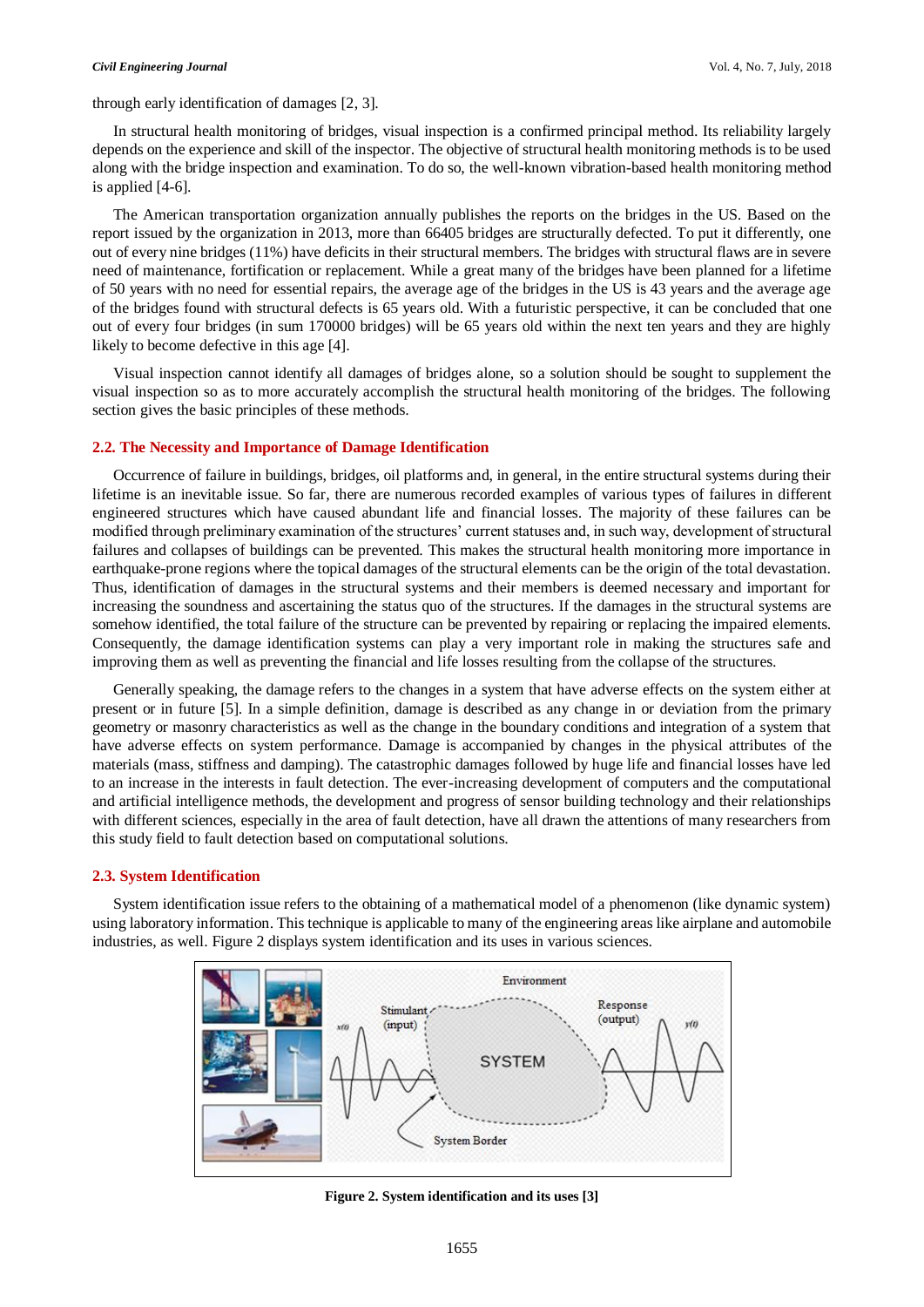through early identification of damages [2, 3].

In structural health monitoring of bridges, visual inspection is a confirmed principal method. Its reliability largely depends on the experience and skill of the inspector. The objective of structural health monitoring methods is to be used along with the bridge inspection and examination. To do so, the well-known vibration-based health monitoring method is applied [4-6].

The American transportation organization annually publishes the reports on the bridges in the US. Based on the report issued by the organization in 2013, more than 66405 bridges are structurally defected. To put it differently, one out of every nine bridges (11%) have deficits in their structural members. The bridges with structural flaws are in severe need of maintenance, fortification or replacement. While a great many of the bridges have been planned for a lifetime of 50 years with no need for essential repairs, the average age of the bridges in the US is 43 years and the average age of the bridges found with structural defects is 65 years old. With a futuristic perspective, it can be concluded that one out of every four bridges (in sum 170000 bridges) will be 65 years old within the next ten years and they are highly likely to become defective in this age [4].

Visual inspection cannot identify all damages of bridges alone, so a solution should be sought to supplement the visual inspection so as to more accurately accomplish the structural health monitoring of the bridges. The following section gives the basic principles of these methods.

# **2.2. The Necessity and Importance of Damage Identification**

Occurrence of failure in buildings, bridges, oil platforms and, in general, in the entire structural systems during their lifetime is an inevitable issue. So far, there are numerous recorded examples of various types of failures in different engineered structures which have caused abundant life and financial losses. The majority of these failures can be modified through preliminary examination of the structures' current statuses and, in such way, development of structural failures and collapses of buildings can be prevented. This makes the structural health monitoring more importance in earthquake-prone regions where the topical damages of the structural elements can be the origin of the total devastation. Thus, identification of damages in the structural systems and their members is deemed necessary and important for increasing the soundness and ascertaining the status quo of the structures. If the damages in the structural systems are somehow identified, the total failure of the structure can be prevented by repairing or replacing the impaired elements. Consequently, the damage identification systems can play a very important role in making the structures safe and improving them as well as preventing the financial and life losses resulting from the collapse of the structures.

Generally speaking, the damage refers to the changes in a system that have adverse effects on the system either at present or in future [5]. In a simple definition, damage is described as any change in or deviation from the primary geometry or masonry characteristics as well as the change in the boundary conditions and integration of a system that have adverse effects on system performance. Damage is accompanied by changes in the physical attributes of the materials (mass, stiffness and damping). The catastrophic damages followed by huge life and financial losses have led to an increase in the interests in fault detection. The ever-increasing development of computers and the computational and artificial intelligence methods, the development and progress of sensor building technology and their relationships with different sciences, especially in the area of fault detection, have all drawn the attentions of many researchers from this study field to fault detection based on computational solutions.

#### **2.3. System Identification**

System identification issue refers to the obtaining of a mathematical model of a phenomenon (like dynamic system) using laboratory information. This technique is applicable to many of the engineering areas like airplane and automobile industries, as well. Figure 2 displays system identification and its uses in various sciences.



**Figure 2. System identification and its uses [3]**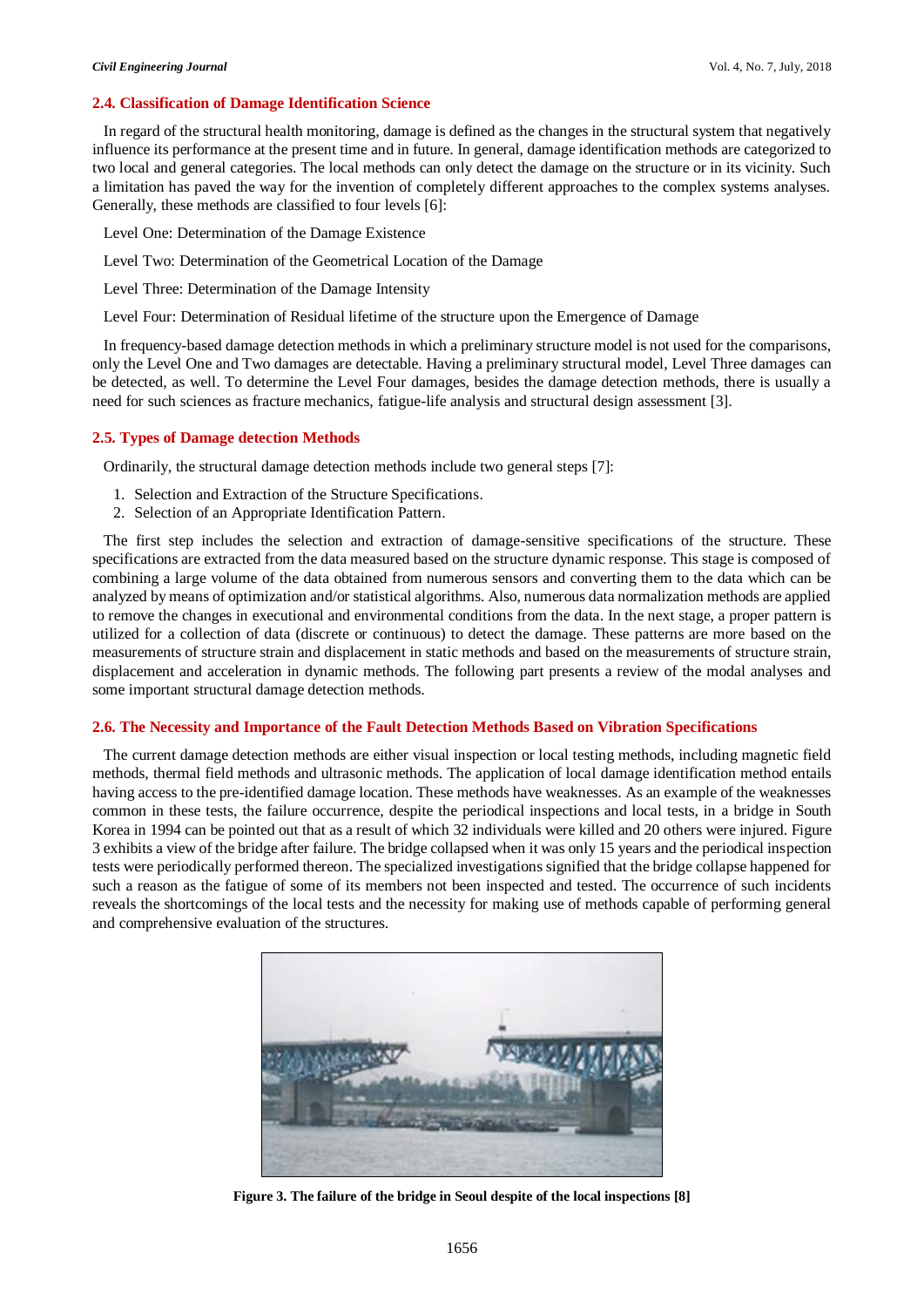# **2.4. Classification of Damage Identification Science**

In regard of the structural health monitoring, damage is defined as the changes in the structural system that negatively influence its performance at the present time and in future. In general, damage identification methods are categorized to two local and general categories. The local methods can only detect the damage on the structure or in its vicinity. Such a limitation has paved the way for the invention of completely different approaches to the complex systems analyses. Generally, these methods are classified to four levels [6]:

Level One: Determination of the Damage Existence

Level Two: Determination of the Geometrical Location of the Damage

Level Three: Determination of the Damage Intensity

Level Four: Determination of Residual lifetime of the structure upon the Emergence of Damage

In frequency-based damage detection methods in which a preliminary structure model is not used for the comparisons, only the Level One and Two damages are detectable. Having a preliminary structural model, Level Three damages can be detected, as well. To determine the Level Four damages, besides the damage detection methods, there is usually a need for such sciences as fracture mechanics, fatigue-life analysis and structural design assessment [3].

# **2.5. Types of Damage detection Methods**

Ordinarily, the structural damage detection methods include two general steps [7]:

- 1. Selection and Extraction of the Structure Specifications.
- 2. Selection of an Appropriate Identification Pattern.

The first step includes the selection and extraction of damage-sensitive specifications of the structure. These specifications are extracted from the data measured based on the structure dynamic response. This stage is composed of combining a large volume of the data obtained from numerous sensors and converting them to the data which can be analyzed by means of optimization and/or statistical algorithms. Also, numerous data normalization methods are applied to remove the changes in executional and environmental conditions from the data. In the next stage, a proper pattern is utilized for a collection of data (discrete or continuous) to detect the damage. These patterns are more based on the measurements of structure strain and displacement in static methods and based on the measurements of structure strain, displacement and acceleration in dynamic methods. The following part presents a review of the modal analyses and some important structural damage detection methods.

## **2.6. The Necessity and Importance of the Fault Detection Methods Based on Vibration Specifications**

The current damage detection methods are either visual inspection or local testing methods, including magnetic field methods, thermal field methods and ultrasonic methods. The application of local damage identification method entails having access to the pre-identified damage location. These methods have weaknesses. As an example of the weaknesses common in these tests, the failure occurrence, despite the periodical inspections and local tests, in a bridge in South Korea in 1994 can be pointed out that as a result of which 32 individuals were killed and 20 others were injured. Figure 3 exhibits a view of the bridge after failure. The bridge collapsed when it was only 15 years and the periodical inspection tests were periodically performed thereon. The specialized investigations signified that the bridge collapse happened for such a reason as the fatigue of some of its members not been inspected and tested. The occurrence of such incidents reveals the shortcomings of the local tests and the necessity for making use of methods capable of performing general and comprehensive evaluation of the structures.



**Figure 3. The failure of the bridge in Seoul despite of the local inspections [8]**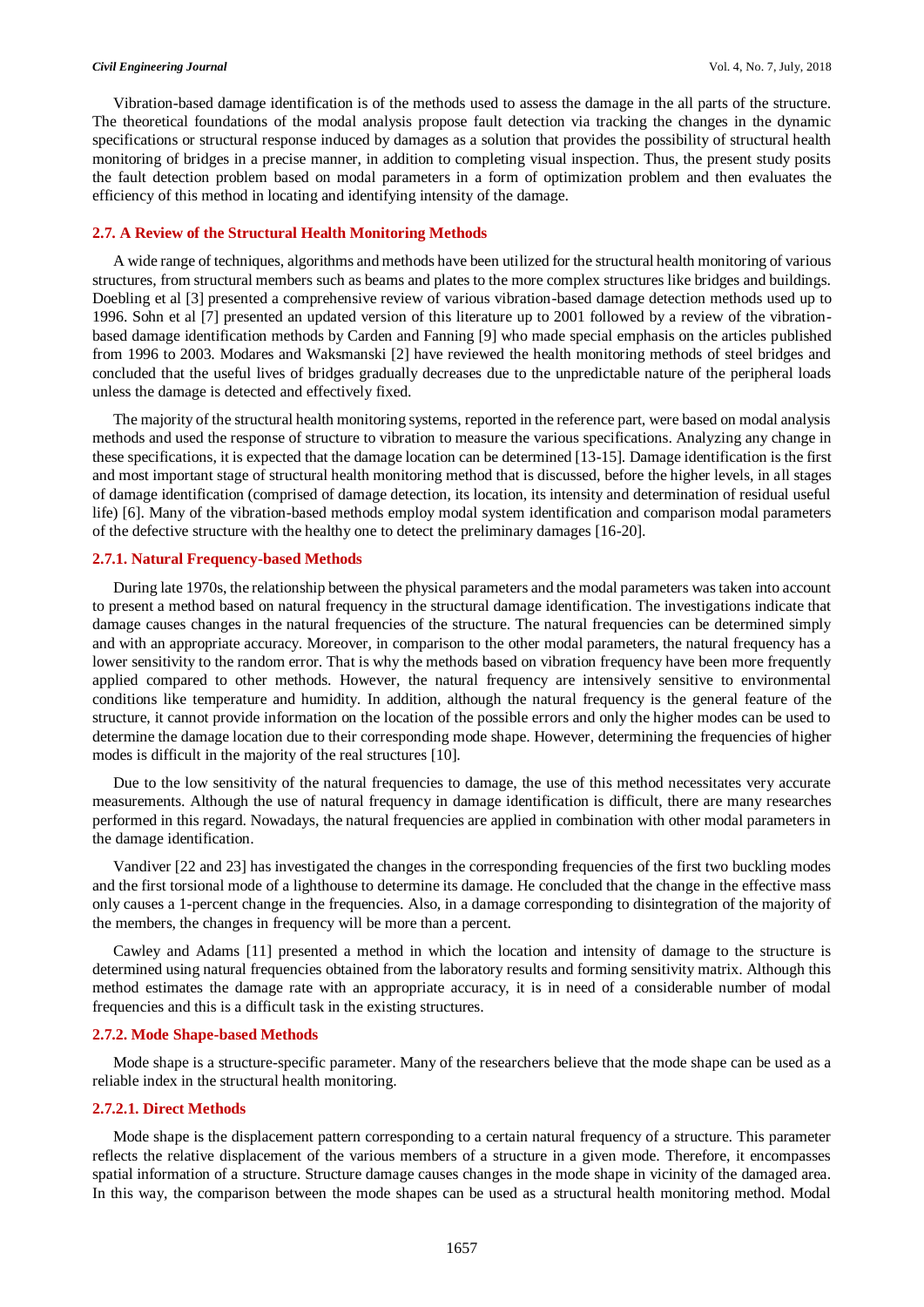Vibration-based damage identification is of the methods used to assess the damage in the all parts of the structure. The theoretical foundations of the modal analysis propose fault detection via tracking the changes in the dynamic specifications or structural response induced by damages as a solution that provides the possibility of structural health monitoring of bridges in a precise manner, in addition to completing visual inspection. Thus, the present study posits the fault detection problem based on modal parameters in a form of optimization problem and then evaluates the efficiency of this method in locating and identifying intensity of the damage.

# **2.7. A Review of the Structural Health Monitoring Methods**

A wide range of techniques, algorithms and methods have been utilized for the structural health monitoring of various structures, from structural members such as beams and plates to the more complex structures like bridges and buildings. Doebling et al [3] presented a comprehensive review of various vibration-based damage detection methods used up to 1996. Sohn et al [7] presented an updated version of this literature up to 2001 followed by a review of the vibrationbased damage identification methods by Carden and Fanning [9] who made special emphasis on the articles published from 1996 to 2003. Modares and Waksmanski [2] have reviewed the health monitoring methods of steel bridges and concluded that the useful lives of bridges gradually decreases due to the unpredictable nature of the peripheral loads unless the damage is detected and effectively fixed.

The majority of the structural health monitoring systems, reported in the reference part, were based on modal analysis methods and used the response of structure to vibration to measure the various specifications. Analyzing any change in these specifications, it is expected that the damage location can be determined [13-15]. Damage identification is the first and most important stage of structural health monitoring method that is discussed, before the higher levels, in all stages of damage identification (comprised of damage detection, its location, its intensity and determination of residual useful life) [6]. Many of the vibration-based methods employ modal system identification and comparison modal parameters of the defective structure with the healthy one to detect the preliminary damages [16-20].

#### **2.7.1. Natural Frequency-based Methods**

During late 1970s, the relationship between the physical parameters and the modal parameters was taken into account to present a method based on natural frequency in the structural damage identification. The investigations indicate that damage causes changes in the natural frequencies of the structure. The natural frequencies can be determined simply and with an appropriate accuracy. Moreover, in comparison to the other modal parameters, the natural frequency has a lower sensitivity to the random error. That is why the methods based on vibration frequency have been more frequently applied compared to other methods. However, the natural frequency are intensively sensitive to environmental conditions like temperature and humidity. In addition, although the natural frequency is the general feature of the structure, it cannot provide information on the location of the possible errors and only the higher modes can be used to determine the damage location due to their corresponding mode shape. However, determining the frequencies of higher modes is difficult in the majority of the real structures [10].

Due to the low sensitivity of the natural frequencies to damage, the use of this method necessitates very accurate measurements. Although the use of natural frequency in damage identification is difficult, there are many researches performed in this regard. Nowadays, the natural frequencies are applied in combination with other modal parameters in the damage identification.

Vandiver [22 and 23] has investigated the changes in the corresponding frequencies of the first two buckling modes and the first torsional mode of a lighthouse to determine its damage. He concluded that the change in the effective mass only causes a 1-percent change in the frequencies. Also, in a damage corresponding to disintegration of the majority of the members, the changes in frequency will be more than a percent.

Cawley and Adams [11] presented a method in which the location and intensity of damage to the structure is determined using natural frequencies obtained from the laboratory results and forming sensitivity matrix. Although this method estimates the damage rate with an appropriate accuracy, it is in need of a considerable number of modal frequencies and this is a difficult task in the existing structures.

#### **2.7.2. Mode Shape-based Methods**

Mode shape is a structure-specific parameter. Many of the researchers believe that the mode shape can be used as a reliable index in the structural health monitoring.

#### **2.7.2.1. Direct Methods**

Mode shape is the displacement pattern corresponding to a certain natural frequency of a structure. This parameter reflects the relative displacement of the various members of a structure in a given mode. Therefore, it encompasses spatial information of a structure. Structure damage causes changes in the mode shape in vicinity of the damaged area. In this way, the comparison between the mode shapes can be used as a structural health monitoring method. Modal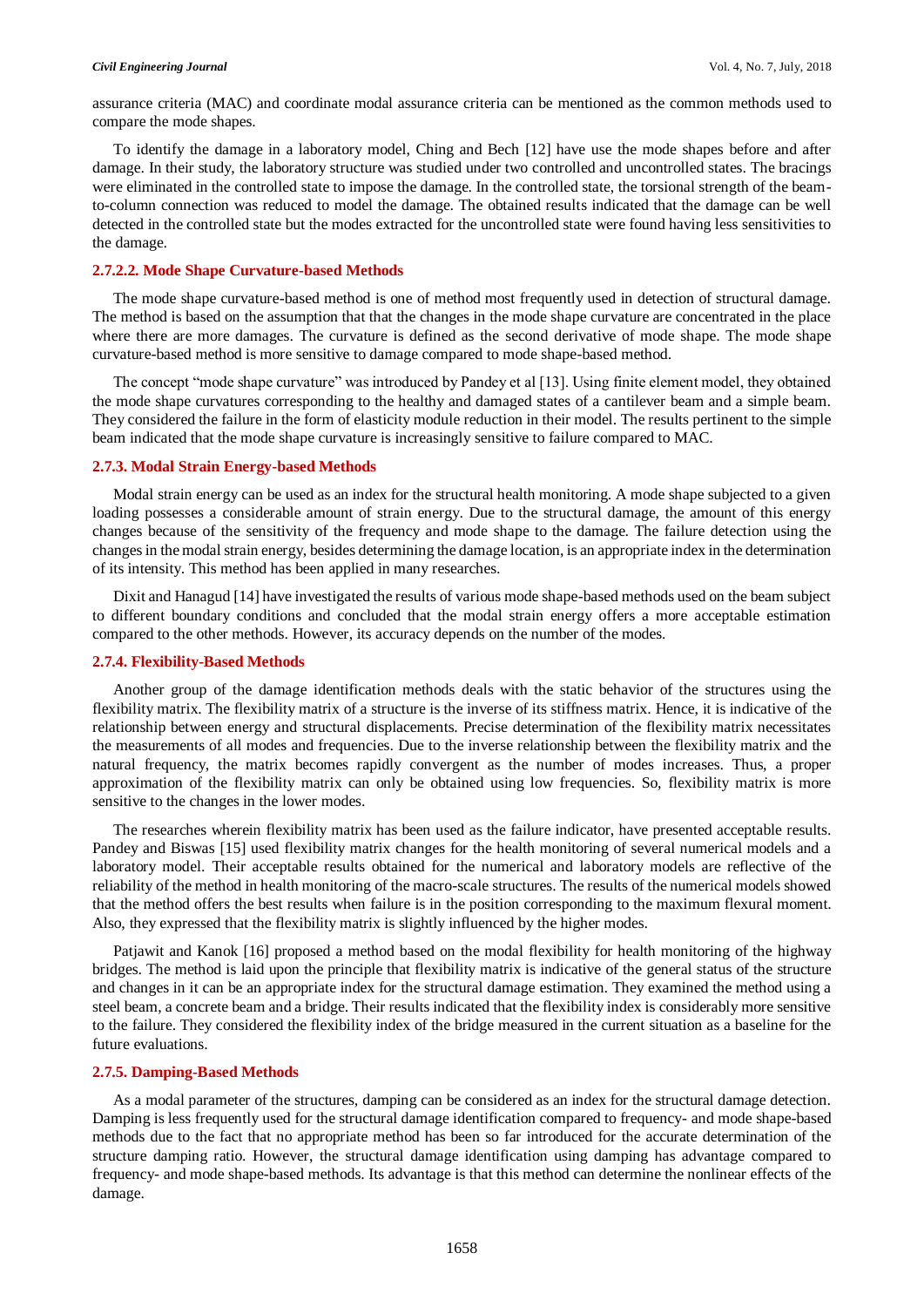assurance criteria (MAC) and coordinate modal assurance criteria can be mentioned as the common methods used to compare the mode shapes.

To identify the damage in a laboratory model, Ching and Bech [12] have use the mode shapes before and after damage. In their study, the laboratory structure was studied under two controlled and uncontrolled states. The bracings were eliminated in the controlled state to impose the damage. In the controlled state, the torsional strength of the beamto-column connection was reduced to model the damage. The obtained results indicated that the damage can be well detected in the controlled state but the modes extracted for the uncontrolled state were found having less sensitivities to the damage.

#### **2.7.2.2. Mode Shape Curvature-based Methods**

The mode shape curvature-based method is one of method most frequently used in detection of structural damage. The method is based on the assumption that that the changes in the mode shape curvature are concentrated in the place where there are more damages. The curvature is defined as the second derivative of mode shape. The mode shape curvature-based method is more sensitive to damage compared to mode shape-based method.

The concept "mode shape curvature" was introduced by Pandey et al [13]. Using finite element model, they obtained the mode shape curvatures corresponding to the healthy and damaged states of a cantilever beam and a simple beam. They considered the failure in the form of elasticity module reduction in their model. The results pertinent to the simple beam indicated that the mode shape curvature is increasingly sensitive to failure compared to MAC.

#### **2.7.3. Modal Strain Energy-based Methods**

Modal strain energy can be used as an index for the structural health monitoring. A mode shape subjected to a given loading possesses a considerable amount of strain energy. Due to the structural damage, the amount of this energy changes because of the sensitivity of the frequency and mode shape to the damage. The failure detection using the changes in the modal strain energy, besides determining the damage location, is an appropriate index in the determination of its intensity. This method has been applied in many researches.

Dixit and Hanagud [14] have investigated the results of various mode shape-based methods used on the beam subject to different boundary conditions and concluded that the modal strain energy offers a more acceptable estimation compared to the other methods. However, its accuracy depends on the number of the modes.

#### **2.7.4. Flexibility-Based Methods**

Another group of the damage identification methods deals with the static behavior of the structures using the flexibility matrix. The flexibility matrix of a structure is the inverse of its stiffness matrix. Hence, it is indicative of the relationship between energy and structural displacements. Precise determination of the flexibility matrix necessitates the measurements of all modes and frequencies. Due to the inverse relationship between the flexibility matrix and the natural frequency, the matrix becomes rapidly convergent as the number of modes increases. Thus, a proper approximation of the flexibility matrix can only be obtained using low frequencies. So, flexibility matrix is more sensitive to the changes in the lower modes.

The researches wherein flexibility matrix has been used as the failure indicator, have presented acceptable results. Pandey and Biswas [15] used flexibility matrix changes for the health monitoring of several numerical models and a laboratory model. Their acceptable results obtained for the numerical and laboratory models are reflective of the reliability of the method in health monitoring of the macro-scale structures. The results of the numerical models showed that the method offers the best results when failure is in the position corresponding to the maximum flexural moment. Also, they expressed that the flexibility matrix is slightly influenced by the higher modes.

Patjawit and Kanok [16] proposed a method based on the modal flexibility for health monitoring of the highway bridges. The method is laid upon the principle that flexibility matrix is indicative of the general status of the structure and changes in it can be an appropriate index for the structural damage estimation. They examined the method using a steel beam, a concrete beam and a bridge. Their results indicated that the flexibility index is considerably more sensitive to the failure. They considered the flexibility index of the bridge measured in the current situation as a baseline for the future evaluations.

# **2.7.5. Damping-Based Methods**

As a modal parameter of the structures, damping can be considered as an index for the structural damage detection. Damping is less frequently used for the structural damage identification compared to frequency- and mode shape-based methods due to the fact that no appropriate method has been so far introduced for the accurate determination of the structure damping ratio. However, the structural damage identification using damping has advantage compared to frequency- and mode shape-based methods. Its advantage is that this method can determine the nonlinear effects of the damage.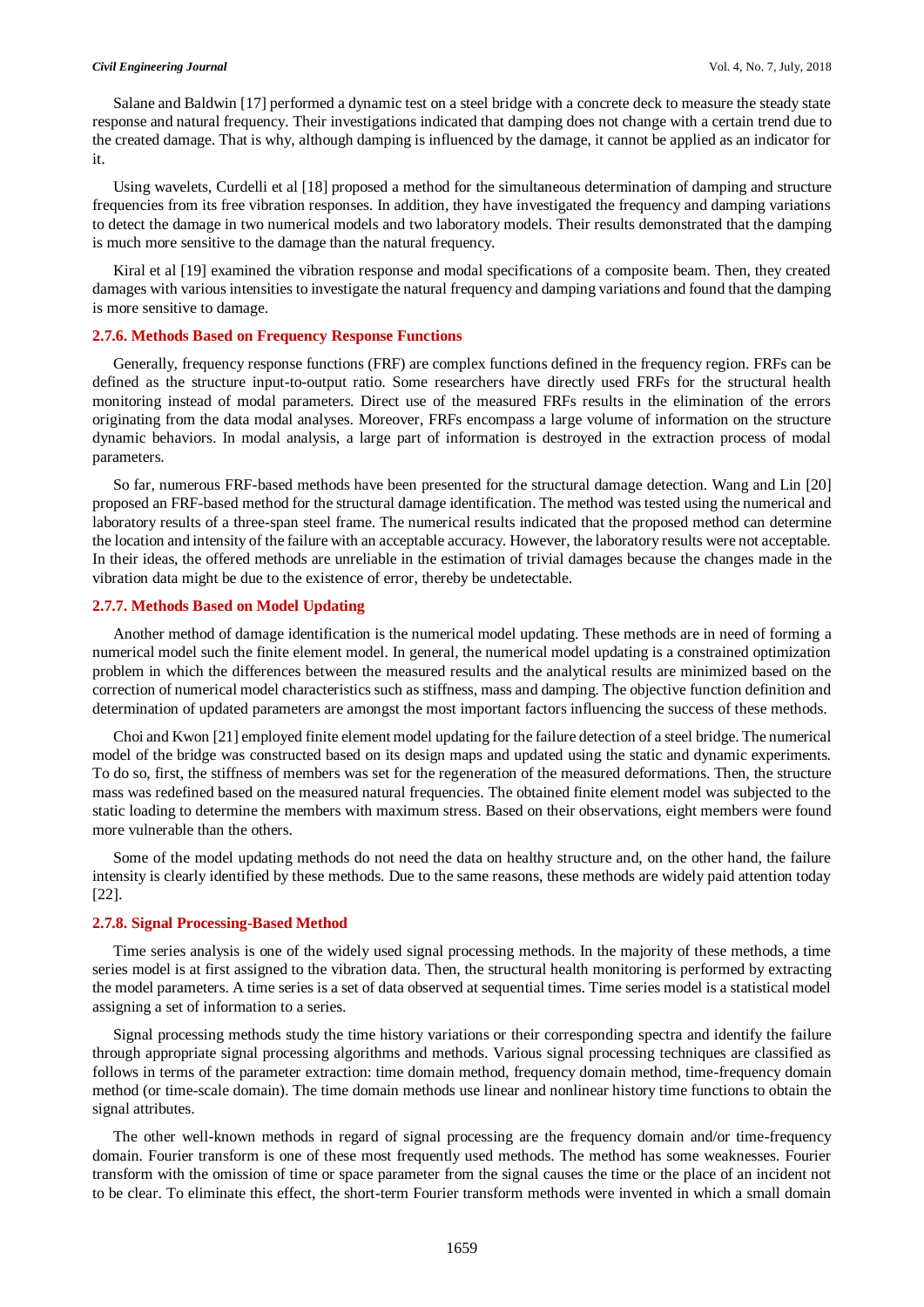Salane and Baldwin [17] performed a dynamic test on a steel bridge with a concrete deck to measure the steady state response and natural frequency. Their investigations indicated that damping does not change with a certain trend due to the created damage. That is why, although damping is influenced by the damage, it cannot be applied as an indicator for it.

Using wavelets, Curdelli et al [18] proposed a method for the simultaneous determination of damping and structure frequencies from its free vibration responses. In addition, they have investigated the frequency and damping variations to detect the damage in two numerical models and two laboratory models. Their results demonstrated that the damping is much more sensitive to the damage than the natural frequency.

Kiral et al [19] examined the vibration response and modal specifications of a composite beam. Then, they created damages with various intensities to investigate the natural frequency and damping variations and found that the damping is more sensitive to damage.

## **2.7.6. Methods Based on Frequency Response Functions**

Generally, frequency response functions (FRF) are complex functions defined in the frequency region. FRFs can be defined as the structure input-to-output ratio. Some researchers have directly used FRFs for the structural health monitoring instead of modal parameters. Direct use of the measured FRFs results in the elimination of the errors originating from the data modal analyses. Moreover, FRFs encompass a large volume of information on the structure dynamic behaviors. In modal analysis, a large part of information is destroyed in the extraction process of modal parameters.

So far, numerous FRF-based methods have been presented for the structural damage detection. Wang and Lin [20] proposed an FRF-based method for the structural damage identification. The method was tested using the numerical and laboratory results of a three-span steel frame. The numerical results indicated that the proposed method can determine the location and intensity of the failure with an acceptable accuracy. However, the laboratory results were not acceptable. In their ideas, the offered methods are unreliable in the estimation of trivial damages because the changes made in the vibration data might be due to the existence of error, thereby be undetectable.

## **2.7.7. Methods Based on Model Updating**

Another method of damage identification is the numerical model updating. These methods are in need of forming a numerical model such the finite element model. In general, the numerical model updating is a constrained optimization problem in which the differences between the measured results and the analytical results are minimized based on the correction of numerical model characteristics such as stiffness, mass and damping. The objective function definition and determination of updated parameters are amongst the most important factors influencing the success of these methods.

Choi and Kwon [21] employed finite element model updating for the failure detection of a steel bridge. The numerical model of the bridge was constructed based on its design maps and updated using the static and dynamic experiments. To do so, first, the stiffness of members was set for the regeneration of the measured deformations. Then, the structure mass was redefined based on the measured natural frequencies. The obtained finite element model was subjected to the static loading to determine the members with maximum stress. Based on their observations, eight members were found more vulnerable than the others.

Some of the model updating methods do not need the data on healthy structure and, on the other hand, the failure intensity is clearly identified by these methods. Due to the same reasons, these methods are widely paid attention today [22].

#### **2.7.8. Signal Processing-Based Method**

Time series analysis is one of the widely used signal processing methods. In the majority of these methods, a time series model is at first assigned to the vibration data. Then, the structural health monitoring is performed by extracting the model parameters. A time series is a set of data observed at sequential times. Time series model is a statistical model assigning a set of information to a series.

Signal processing methods study the time history variations or their corresponding spectra and identify the failure through appropriate signal processing algorithms and methods. Various signal processing techniques are classified as follows in terms of the parameter extraction: time domain method, frequency domain method, time-frequency domain method (or time-scale domain). The time domain methods use linear and nonlinear history time functions to obtain the signal attributes.

The other well-known methods in regard of signal processing are the frequency domain and/or time-frequency domain. Fourier transform is one of these most frequently used methods. The method has some weaknesses. Fourier transform with the omission of time or space parameter from the signal causes the time or the place of an incident not to be clear. To eliminate this effect, the short-term Fourier transform methods were invented in which a small domain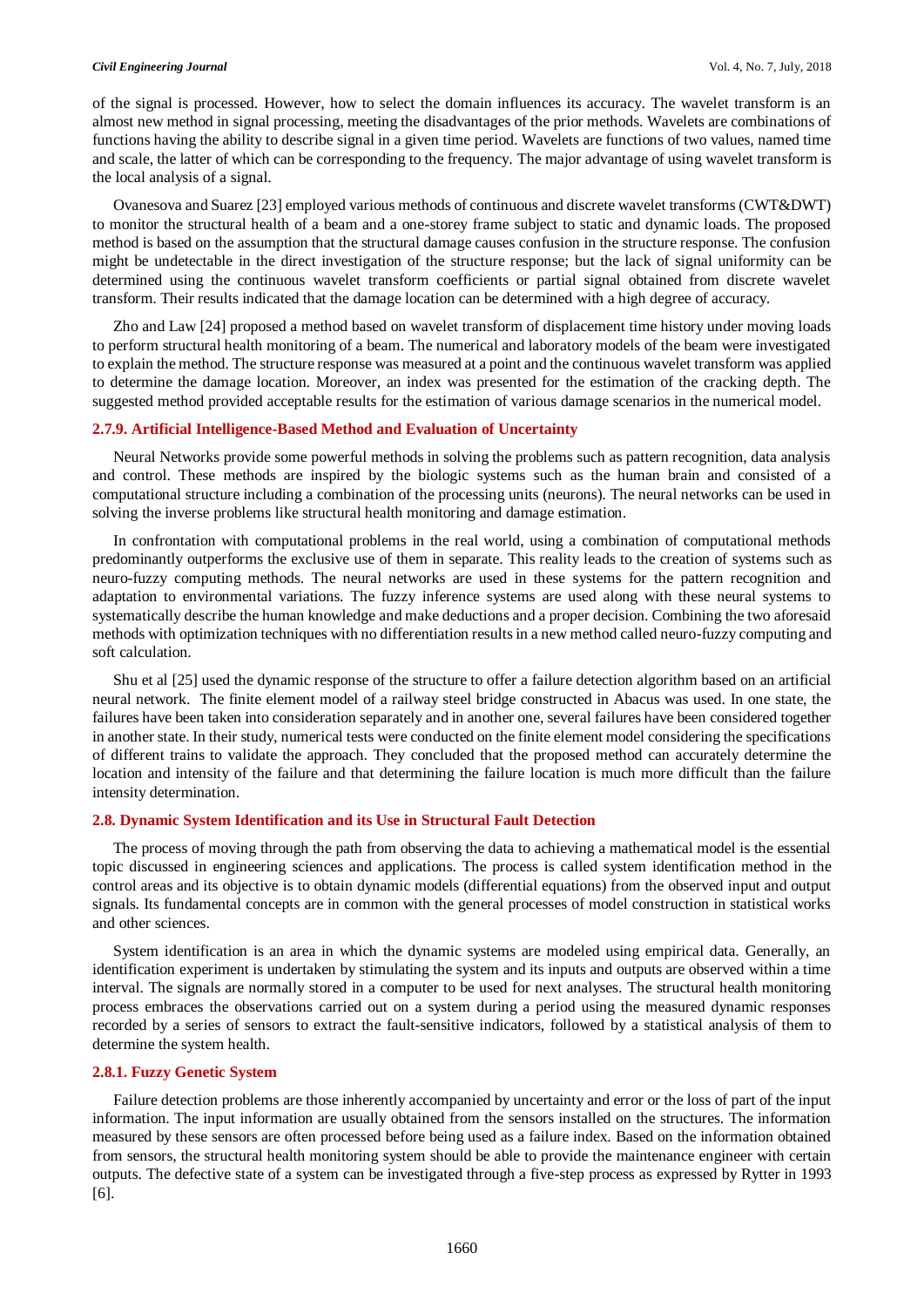of the signal is processed. However, how to select the domain influences its accuracy. The wavelet transform is an almost new method in signal processing, meeting the disadvantages of the prior methods. Wavelets are combinations of functions having the ability to describe signal in a given time period. Wavelets are functions of two values, named time and scale, the latter of which can be corresponding to the frequency. The major advantage of using wavelet transform is the local analysis of a signal.

Ovanesova and Suarez [23] employed various methods of continuous and discrete wavelet transforms (CWT&DWT) to monitor the structural health of a beam and a one-storey frame subject to static and dynamic loads. The proposed method is based on the assumption that the structural damage causes confusion in the structure response. The confusion might be undetectable in the direct investigation of the structure response; but the lack of signal uniformity can be determined using the continuous wavelet transform coefficients or partial signal obtained from discrete wavelet transform. Their results indicated that the damage location can be determined with a high degree of accuracy.

Zho and Law [24] proposed a method based on wavelet transform of displacement time history under moving loads to perform structural health monitoring of a beam. The numerical and laboratory models of the beam were investigated to explain the method. The structure response was measured at a point and the continuous wavelet transform was applied to determine the damage location. Moreover, an index was presented for the estimation of the cracking depth. The suggested method provided acceptable results for the estimation of various damage scenarios in the numerical model.

#### **2.7.9. Artificial Intelligence-Based Method and Evaluation of Uncertainty**

Neural Networks provide some powerful methods in solving the problems such as pattern recognition, data analysis and control. These methods are inspired by the biologic systems such as the human brain and consisted of a computational structure including a combination of the processing units (neurons). The neural networks can be used in solving the inverse problems like structural health monitoring and damage estimation.

In confrontation with computational problems in the real world, using a combination of computational methods predominantly outperforms the exclusive use of them in separate. This reality leads to the creation of systems such as neuro-fuzzy computing methods. The neural networks are used in these systems for the pattern recognition and adaptation to environmental variations. The fuzzy inference systems are used along with these neural systems to systematically describe the human knowledge and make deductions and a proper decision. Combining the two aforesaid methods with optimization techniques with no differentiation results in a new method called neuro-fuzzy computing and soft calculation.

Shu et al [25] used the dynamic response of the structure to offer a failure detection algorithm based on an artificial neural network. The finite element model of a railway steel bridge constructed in Abacus was used. In one state, the failures have been taken into consideration separately and in another one, several failures have been considered together in another state. In their study, numerical tests were conducted on the finite element model considering the specifications of different trains to validate the approach. They concluded that the proposed method can accurately determine the location and intensity of the failure and that determining the failure location is much more difficult than the failure intensity determination.

# **2.8. Dynamic System Identification and its Use in Structural Fault Detection**

The process of moving through the path from observing the data to achieving a mathematical model is the essential topic discussed in engineering sciences and applications. The process is called system identification method in the control areas and its objective is to obtain dynamic models (differential equations) from the observed input and output signals. Its fundamental concepts are in common with the general processes of model construction in statistical works and other sciences.

System identification is an area in which the dynamic systems are modeled using empirical data. Generally, an identification experiment is undertaken by stimulating the system and its inputs and outputs are observed within a time interval. The signals are normally stored in a computer to be used for next analyses. The structural health monitoring process embraces the observations carried out on a system during a period using the measured dynamic responses recorded by a series of sensors to extract the fault-sensitive indicators, followed by a statistical analysis of them to determine the system health.

#### **2.8.1. Fuzzy Genetic System**

Failure detection problems are those inherently accompanied by uncertainty and error or the loss of part of the input information. The input information are usually obtained from the sensors installed on the structures. The information measured by these sensors are often processed before being used as a failure index. Based on the information obtained from sensors, the structural health monitoring system should be able to provide the maintenance engineer with certain outputs. The defective state of a system can be investigated through a five-step process as expressed by Rytter in 1993 [6].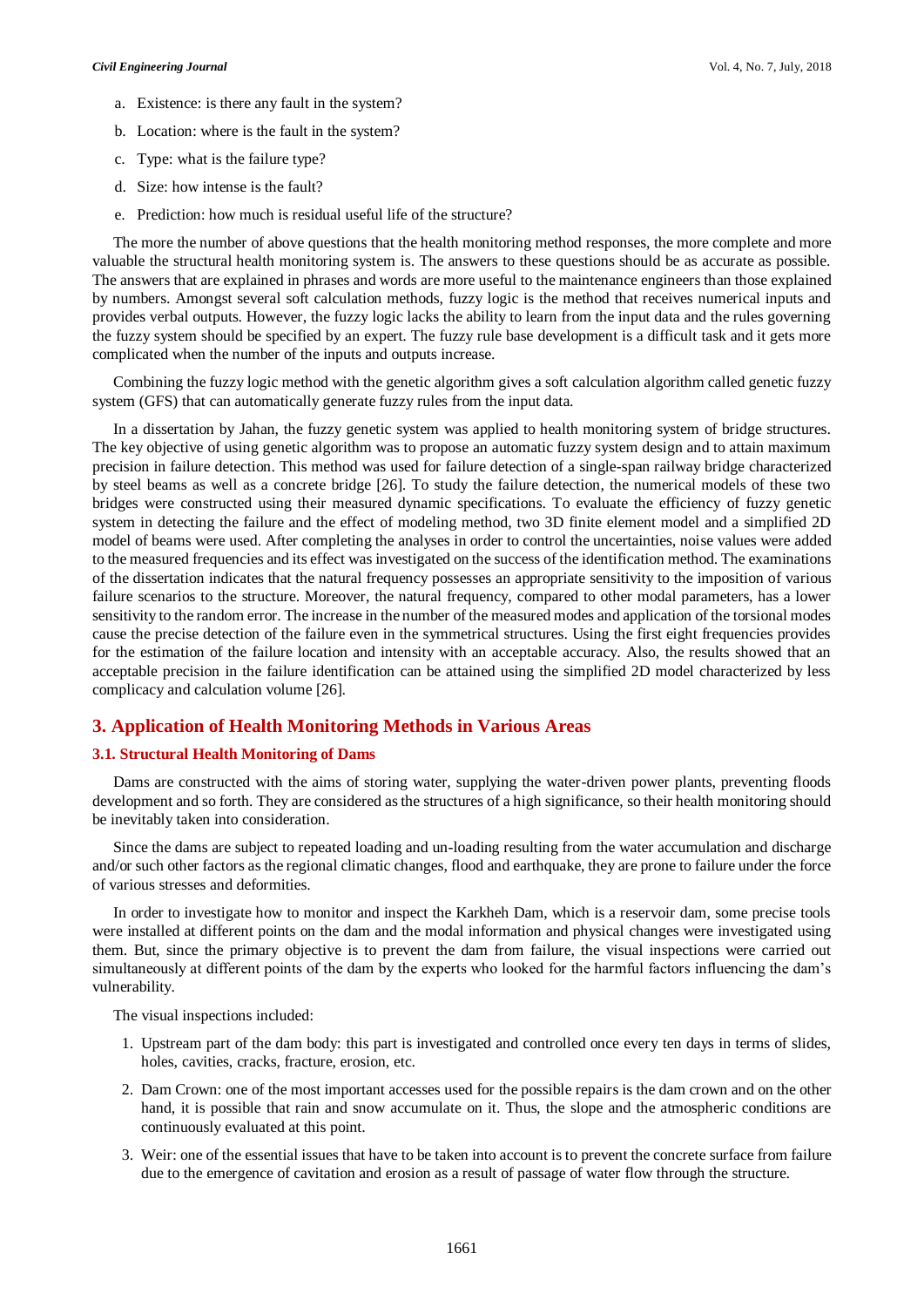- a. Existence: is there any fault in the system?
- b. Location: where is the fault in the system?
- c. Type: what is the failure type?
- d. Size: how intense is the fault?
- e. Prediction: how much is residual useful life of the structure?

The more the number of above questions that the health monitoring method responses, the more complete and more valuable the structural health monitoring system is. The answers to these questions should be as accurate as possible. The answers that are explained in phrases and words are more useful to the maintenance engineers than those explained by numbers. Amongst several soft calculation methods, fuzzy logic is the method that receives numerical inputs and provides verbal outputs. However, the fuzzy logic lacks the ability to learn from the input data and the rules governing the fuzzy system should be specified by an expert. The fuzzy rule base development is a difficult task and it gets more complicated when the number of the inputs and outputs increase.

Combining the fuzzy logic method with the genetic algorithm gives a soft calculation algorithm called genetic fuzzy system (GFS) that can automatically generate fuzzy rules from the input data.

In a dissertation by Jahan, the fuzzy genetic system was applied to health monitoring system of bridge structures. The key objective of using genetic algorithm was to propose an automatic fuzzy system design and to attain maximum precision in failure detection. This method was used for failure detection of a single-span railway bridge characterized by steel beams as well as a concrete bridge [26]. To study the failure detection, the numerical models of these two bridges were constructed using their measured dynamic specifications. To evaluate the efficiency of fuzzy genetic system in detecting the failure and the effect of modeling method, two 3D finite element model and a simplified 2D model of beams were used. After completing the analyses in order to control the uncertainties, noise values were added to the measured frequencies and its effect was investigated on the success of the identification method. The examinations of the dissertation indicates that the natural frequency possesses an appropriate sensitivity to the imposition of various failure scenarios to the structure. Moreover, the natural frequency, compared to other modal parameters, has a lower sensitivity to the random error. The increase in the number of the measured modes and application of the torsional modes cause the precise detection of the failure even in the symmetrical structures. Using the first eight frequencies provides for the estimation of the failure location and intensity with an acceptable accuracy. Also, the results showed that an acceptable precision in the failure identification can be attained using the simplified 2D model characterized by less complicacy and calculation volume [26].

# **3. Application of Health Monitoring Methods in Various Areas**

# **3.1. Structural Health Monitoring of Dams**

Dams are constructed with the aims of storing water, supplying the water-driven power plants, preventing floods development and so forth. They are considered as the structures of a high significance, so their health monitoring should be inevitably taken into consideration.

Since the dams are subject to repeated loading and un-loading resulting from the water accumulation and discharge and/or such other factors as the regional climatic changes, flood and earthquake, they are prone to failure under the force of various stresses and deformities.

In order to investigate how to monitor and inspect the Karkheh Dam, which is a reservoir dam, some precise tools were installed at different points on the dam and the modal information and physical changes were investigated using them. But, since the primary objective is to prevent the dam from failure, the visual inspections were carried out simultaneously at different points of the dam by the experts who looked for the harmful factors influencing the dam's vulnerability.

The visual inspections included:

- 1. Upstream part of the dam body: this part is investigated and controlled once every ten days in terms of slides, holes, cavities, cracks, fracture, erosion, etc.
- 2. Dam Crown: one of the most important accesses used for the possible repairs is the dam crown and on the other hand, it is possible that rain and snow accumulate on it. Thus, the slope and the atmospheric conditions are continuously evaluated at this point.
- 3. Weir: one of the essential issues that have to be taken into account is to prevent the concrete surface from failure due to the emergence of cavitation and erosion as a result of passage of water flow through the structure.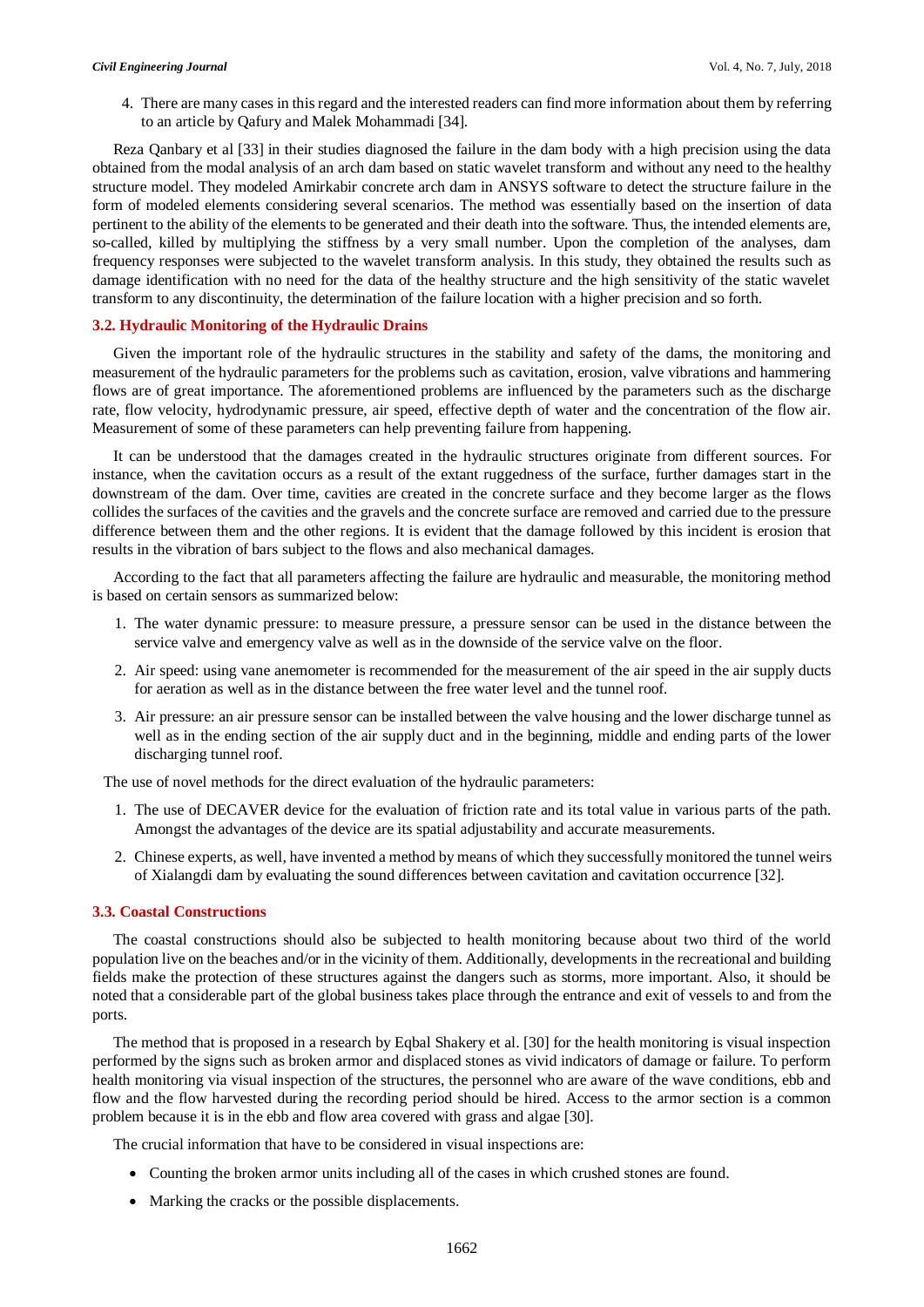4. There are many cases in this regard and the interested readers can find more information about them by referring to an article by Qafury and Malek Mohammadi [34].

Reza Qanbary et al [33] in their studies diagnosed the failure in the dam body with a high precision using the data obtained from the modal analysis of an arch dam based on static wavelet transform and without any need to the healthy structure model. They modeled Amirkabir concrete arch dam in ANSYS software to detect the structure failure in the form of modeled elements considering several scenarios. The method was essentially based on the insertion of data pertinent to the ability of the elements to be generated and their death into the software. Thus, the intended elements are, so-called, killed by multiplying the stiffness by a very small number. Upon the completion of the analyses, dam frequency responses were subjected to the wavelet transform analysis. In this study, they obtained the results such as damage identification with no need for the data of the healthy structure and the high sensitivity of the static wavelet transform to any discontinuity, the determination of the failure location with a higher precision and so forth.

# **3.2. Hydraulic Monitoring of the Hydraulic Drains**

Given the important role of the hydraulic structures in the stability and safety of the dams, the monitoring and measurement of the hydraulic parameters for the problems such as cavitation, erosion, valve vibrations and hammering flows are of great importance. The aforementioned problems are influenced by the parameters such as the discharge rate, flow velocity, hydrodynamic pressure, air speed, effective depth of water and the concentration of the flow air. Measurement of some of these parameters can help preventing failure from happening.

It can be understood that the damages created in the hydraulic structures originate from different sources. For instance, when the cavitation occurs as a result of the extant ruggedness of the surface, further damages start in the downstream of the dam. Over time, cavities are created in the concrete surface and they become larger as the flows collides the surfaces of the cavities and the gravels and the concrete surface are removed and carried due to the pressure difference between them and the other regions. It is evident that the damage followed by this incident is erosion that results in the vibration of bars subject to the flows and also mechanical damages.

According to the fact that all parameters affecting the failure are hydraulic and measurable, the monitoring method is based on certain sensors as summarized below:

- 1. The water dynamic pressure: to measure pressure, a pressure sensor can be used in the distance between the service valve and emergency valve as well as in the downside of the service valve on the floor.
- 2. Air speed: using vane anemometer is recommended for the measurement of the air speed in the air supply ducts for aeration as well as in the distance between the free water level and the tunnel roof.
- 3. Air pressure: an air pressure sensor can be installed between the valve housing and the lower discharge tunnel as well as in the ending section of the air supply duct and in the beginning, middle and ending parts of the lower discharging tunnel roof.

The use of novel methods for the direct evaluation of the hydraulic parameters:

- 1. The use of DECAVER device for the evaluation of friction rate and its total value in various parts of the path. Amongst the advantages of the device are its spatial adjustability and accurate measurements.
- 2. Chinese experts, as well, have invented a method by means of which they successfully monitored the tunnel weirs of Xialangdi dam by evaluating the sound differences between cavitation and cavitation occurrence [32].

# **3.3. Coastal Constructions**

The coastal constructions should also be subjected to health monitoring because about two third of the world population live on the beaches and/or in the vicinity of them. Additionally, developments in the recreational and building fields make the protection of these structures against the dangers such as storms, more important. Also, it should be noted that a considerable part of the global business takes place through the entrance and exit of vessels to and from the ports.

The method that is proposed in a research by Eqbal Shakery et al. [30] for the health monitoring is visual inspection performed by the signs such as broken armor and displaced stones as vivid indicators of damage or failure. To perform health monitoring via visual inspection of the structures, the personnel who are aware of the wave conditions, ebb and flow and the flow harvested during the recording period should be hired. Access to the armor section is a common problem because it is in the ebb and flow area covered with grass and algae [30].

The crucial information that have to be considered in visual inspections are:

- Counting the broken armor units including all of the cases in which crushed stones are found.
- Marking the cracks or the possible displacements.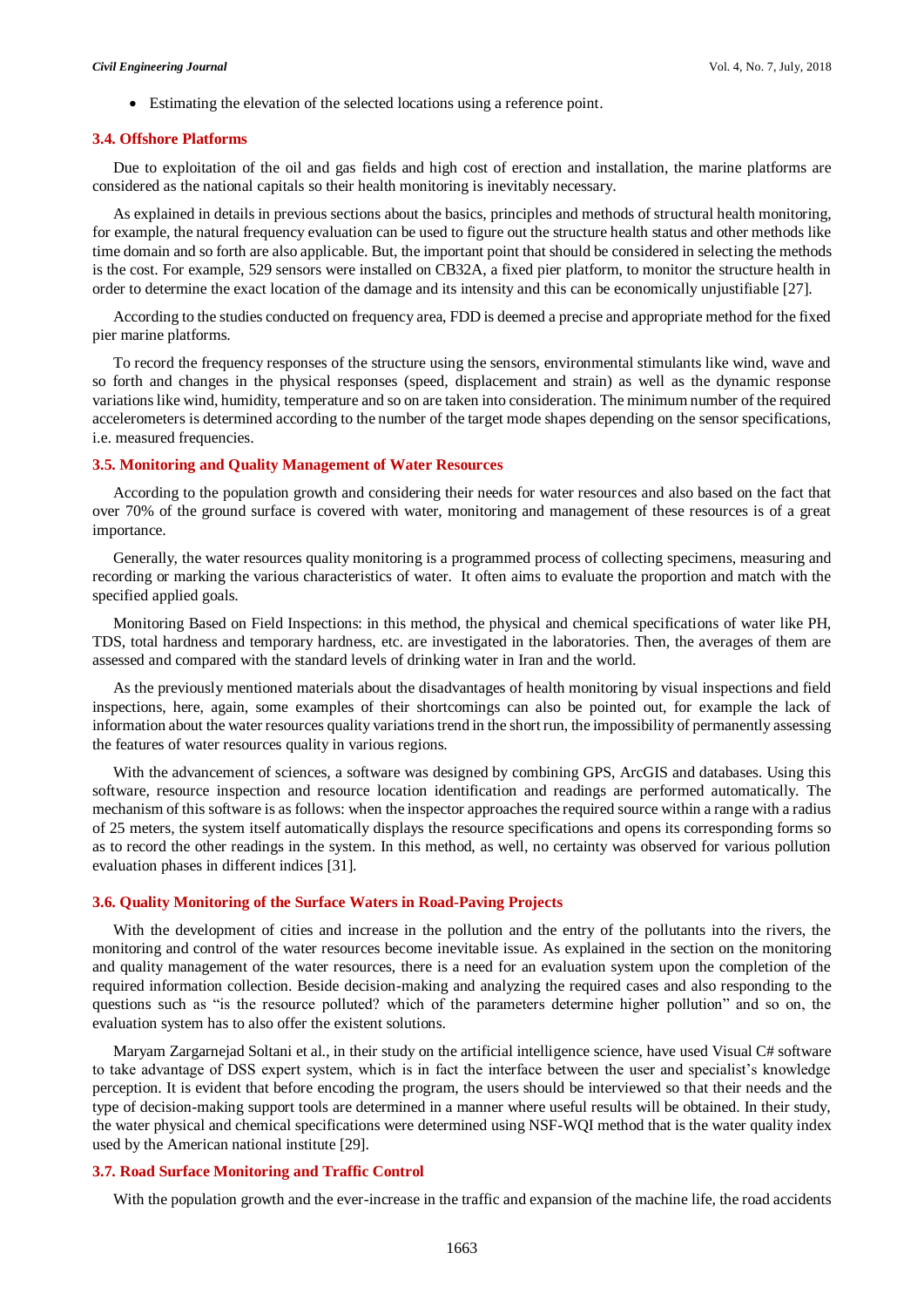Estimating the elevation of the selected locations using a reference point.

#### **3.4. Offshore Platforms**

Due to exploitation of the oil and gas fields and high cost of erection and installation, the marine platforms are considered as the national capitals so their health monitoring is inevitably necessary.

As explained in details in previous sections about the basics, principles and methods of structural health monitoring, for example, the natural frequency evaluation can be used to figure out the structure health status and other methods like time domain and so forth are also applicable. But, the important point that should be considered in selecting the methods is the cost. For example, 529 sensors were installed on CB32A, a fixed pier platform, to monitor the structure health in order to determine the exact location of the damage and its intensity and this can be economically unjustifiable [27].

According to the studies conducted on frequency area, FDD is deemed a precise and appropriate method for the fixed pier marine platforms.

To record the frequency responses of the structure using the sensors, environmental stimulants like wind, wave and so forth and changes in the physical responses (speed, displacement and strain) as well as the dynamic response variations like wind, humidity, temperature and so on are taken into consideration. The minimum number of the required accelerometers is determined according to the number of the target mode shapes depending on the sensor specifications, i.e. measured frequencies.

### **3.5. Monitoring and Quality Management of Water Resources**

According to the population growth and considering their needs for water resources and also based on the fact that over 70% of the ground surface is covered with water, monitoring and management of these resources is of a great importance.

Generally, the water resources quality monitoring is a programmed process of collecting specimens, measuring and recording or marking the various characteristics of water. It often aims to evaluate the proportion and match with the specified applied goals.

Monitoring Based on Field Inspections: in this method, the physical and chemical specifications of water like PH, TDS, total hardness and temporary hardness, etc. are investigated in the laboratories. Then, the averages of them are assessed and compared with the standard levels of drinking water in Iran and the world.

As the previously mentioned materials about the disadvantages of health monitoring by visual inspections and field inspections, here, again, some examples of their shortcomings can also be pointed out, for example the lack of information about the water resources quality variations trend in the short run, the impossibility of permanently assessing the features of water resources quality in various regions.

With the advancement of sciences, a software was designed by combining GPS, ArcGIS and databases. Using this software, resource inspection and resource location identification and readings are performed automatically. The mechanism of this software is as follows: when the inspector approaches the required source within a range with a radius of 25 meters, the system itself automatically displays the resource specifications and opens its corresponding forms so as to record the other readings in the system. In this method, as well, no certainty was observed for various pollution evaluation phases in different indices [31].

# **3.6. Quality Monitoring of the Surface Waters in Road-Paving Projects**

With the development of cities and increase in the pollution and the entry of the pollutants into the rivers, the monitoring and control of the water resources become inevitable issue. As explained in the section on the monitoring and quality management of the water resources, there is a need for an evaluation system upon the completion of the required information collection. Beside decision-making and analyzing the required cases and also responding to the questions such as "is the resource polluted? which of the parameters determine higher pollution" and so on, the evaluation system has to also offer the existent solutions.

Maryam Zargarnejad Soltani et al., in their study on the artificial intelligence science, have used Visual C# software to take advantage of DSS expert system, which is in fact the interface between the user and specialist's knowledge perception. It is evident that before encoding the program, the users should be interviewed so that their needs and the type of decision-making support tools are determined in a manner where useful results will be obtained. In their study, the water physical and chemical specifications were determined using NSF-WQI method that is the water quality index used by the American national institute [29].

#### **3.7. Road Surface Monitoring and Traffic Control**

With the population growth and the ever-increase in the traffic and expansion of the machine life, the road accidents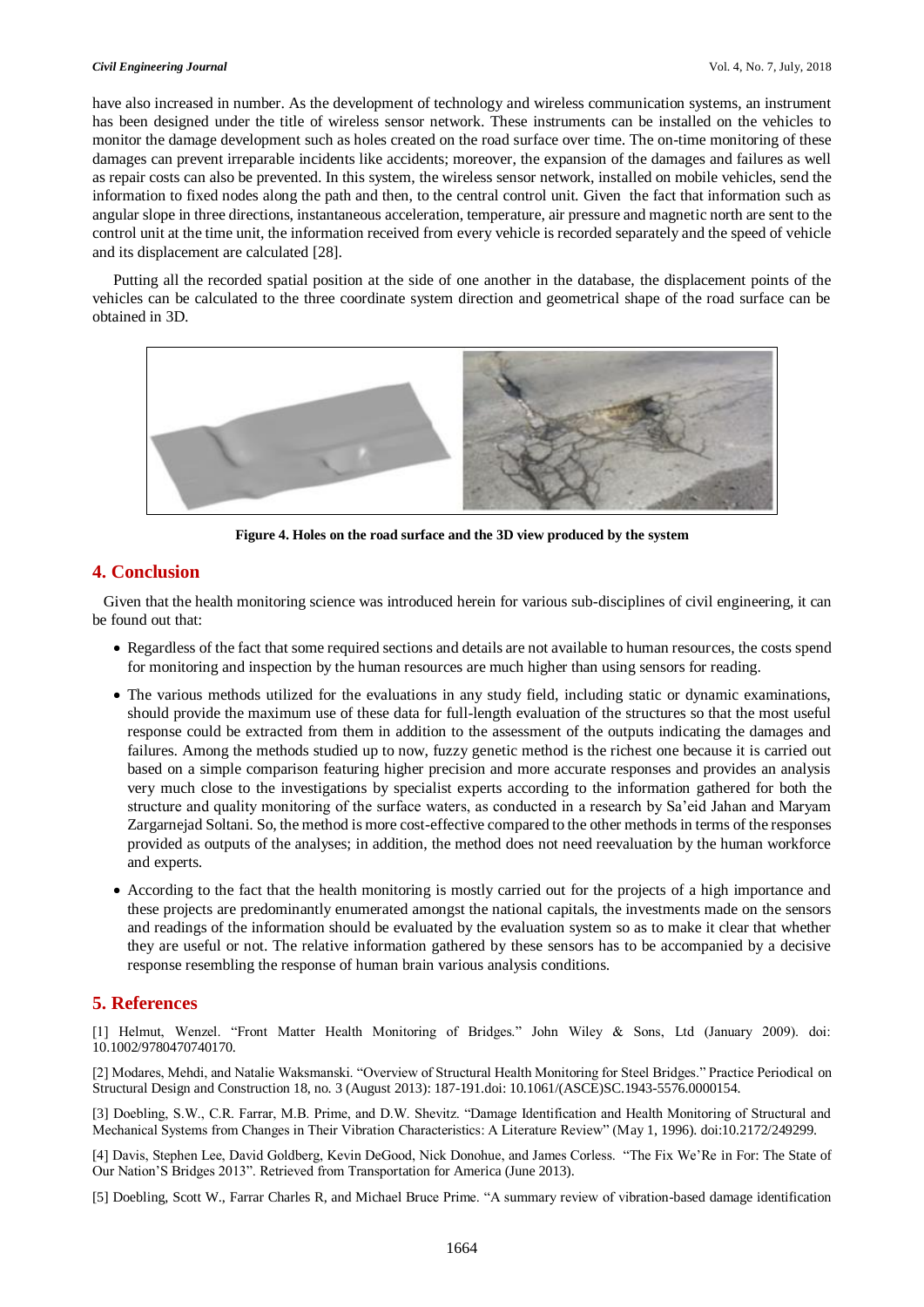have also increased in number. As the development of technology and wireless communication systems, an instrument has been designed under the title of wireless sensor network. These instruments can be installed on the vehicles to monitor the damage development such as holes created on the road surface over time. The on-time monitoring of these damages can prevent irreparable incidents like accidents; moreover, the expansion of the damages and failures as well as repair costs can also be prevented. In this system, the wireless sensor network, installed on mobile vehicles, send the information to fixed nodes along the path and then, to the central control unit. Given the fact that information such as angular slope in three directions, instantaneous acceleration, temperature, air pressure and magnetic north are sent to the control unit at the time unit, the information received from every vehicle is recorded separately and the speed of vehicle and its displacement are calculated [28].

Putting all the recorded spatial position at the side of one another in the database, the displacement points of the vehicles can be calculated to the three coordinate system direction and geometrical shape of the road surface can be obtained in 3D.



**Figure 4. Holes on the road surface and the 3D view produced by the system**

# **4. Conclusion**

Given that the health monitoring science was introduced herein for various sub-disciplines of civil engineering, it can be found out that:

- Regardless of the fact that some required sections and details are not available to human resources, the costs spend for monitoring and inspection by the human resources are much higher than using sensors for reading.
- The various methods utilized for the evaluations in any study field, including static or dynamic examinations, should provide the maximum use of these data for full-length evaluation of the structures so that the most useful response could be extracted from them in addition to the assessment of the outputs indicating the damages and failures. Among the methods studied up to now, fuzzy genetic method is the richest one because it is carried out based on a simple comparison featuring higher precision and more accurate responses and provides an analysis very much close to the investigations by specialist experts according to the information gathered for both the structure and quality monitoring of the surface waters, as conducted in a research by Sa'eid Jahan and Maryam Zargarnejad Soltani. So, the method is more cost-effective compared to the other methods in terms of the responses provided as outputs of the analyses; in addition, the method does not need reevaluation by the human workforce and experts.
- According to the fact that the health monitoring is mostly carried out for the projects of a high importance and these projects are predominantly enumerated amongst the national capitals, the investments made on the sensors and readings of the information should be evaluated by the evaluation system so as to make it clear that whether they are useful or not. The relative information gathered by these sensors has to be accompanied by a decisive response resembling the response of human brain various analysis conditions.

# **5. References**

[1] Helmut, Wenzel. "Front Matter Health Monitoring of Bridges." John Wiley & Sons, Ltd (January 2009). doi: 10.1002/9780470740170.

[2] Modares, Mehdi, and Natalie Waksmanski. "Overview of Structural Health Monitoring for Steel Bridges." Practice Periodical on Structural Design and Construction 18, no. 3 (August 2013): 187-191.doi: 10.1061/(ASCE)SC.1943-5576.0000154.

[3] Doebling, S.W., C.R. Farrar, M.B. Prime, and D.W. Shevitz. "Damage Identification and Health Monitoring of Structural and Mechanical Systems from Changes in Their Vibration Characteristics: A Literature Review" (May 1, 1996). doi:10.2172/249299.

[4] Davis, Stephen Lee, David Goldberg, Kevin DeGood, Nick Donohue, and James Corless. "The Fix We'Re in For: The State of Our Nation'S Bridges 2013". Retrieved from Transportation for America (June 2013).

[5] Doebling, Scott W., Farrar Charles R, and Michael Bruce Prime. "A summary review of vibration-based damage identification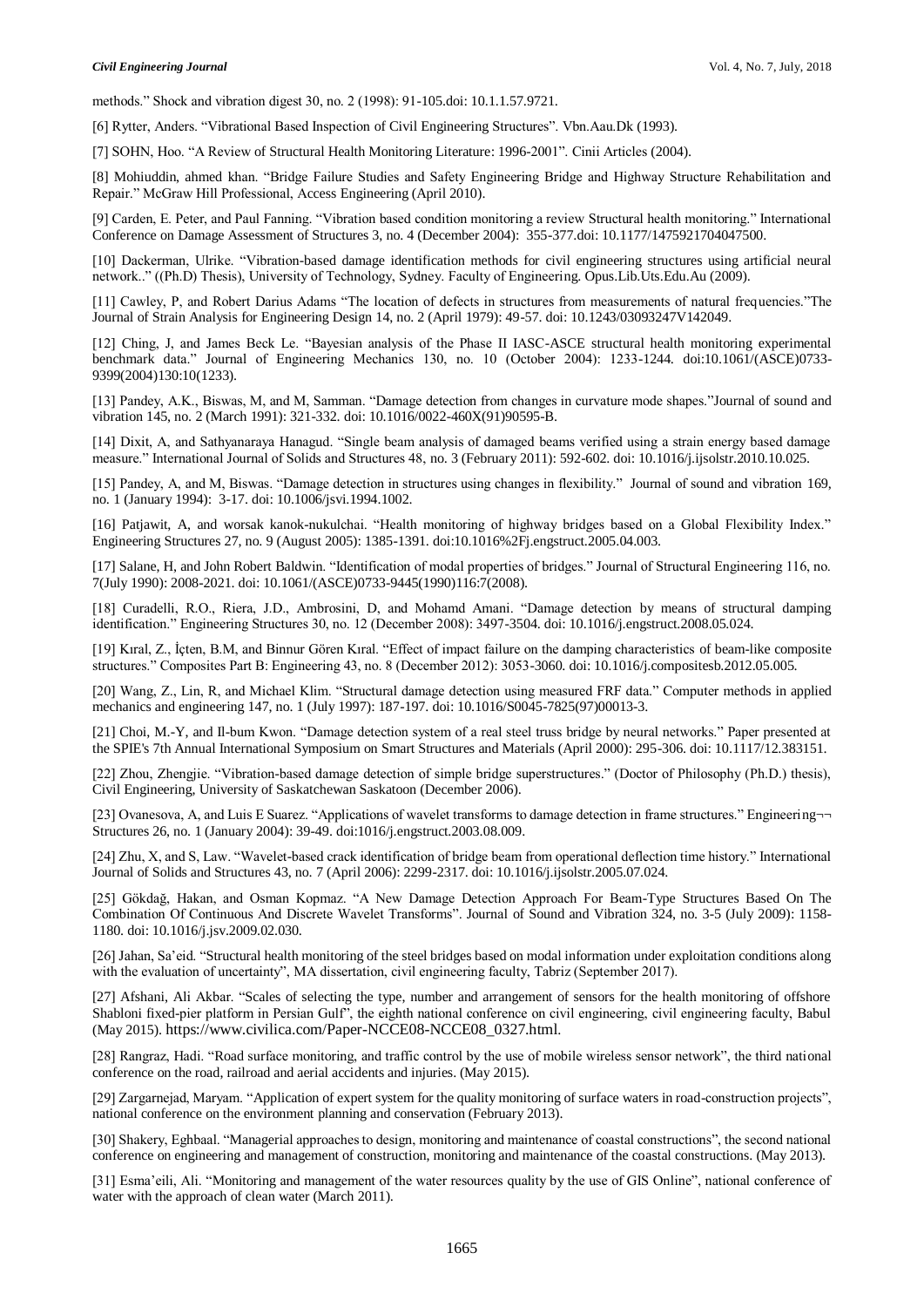methods." Shock and vibration digest 30, no. 2 (1998): 91-105.doi: 10.1.1.57.9721.

[6] Rytter, Anders. "Vibrational Based Inspection of Civil Engineering Structures". Vbn.Aau.Dk (1993).

[7] SOHN, Hoo. "A Review of Structural Health Monitoring Literature: 1996-2001". Cinii Articles (2004).

[8] Mohiuddin, ahmed khan. "Bridge Failure Studies and Safety Engineering Bridge and Highway Structure Rehabilitation and Repair." McGraw Hill Professional, Access Engineering (April 2010).

[9] Carden, E. Peter, and Paul Fanning. "Vibration based condition monitoring a review Structural health monitoring." International Conference on Damage Assessment of Structures 3, no. 4 (December 2004): 355-377.doi: 10.1177/1475921704047500.

[10] Dackerman, Ulrike. "Vibration-based damage identification methods for civil engineering structures using artificial neural network.." ((Ph.D) Thesis), University of Technology, Sydney. Faculty of Engineering. Opus.Lib.Uts.Edu.Au (2009).

[11] Cawley, P, and Robert Darius Adams "The location of defects in structures from measurements of natural frequencies."The Journal of Strain Analysis for Engineering Design 14, no. 2 (April 1979): 49-57. doi: 10.1243/03093247V142049.

[12] Ching, J, and James Beck Le. "Bayesian analysis of the Phase II IASC-ASCE structural health monitoring experimental benchmark data." Journal of Engineering Mechanics 130, no. 10 (October 2004): 1233-1244. doi:10.1061/(ASCE)0733- 9399(2004)130:10(1233).

[13] Pandey, A.K., Biswas, M, and M, Samman. "Damage detection from changes in curvature mode shapes."Journal of sound and vibration 145, no. 2 (March 1991): 321-332. doi: 10.1016/0022-460X(91)90595-B.

[14] Dixit, A, and Sathyanaraya Hanagud. "Single beam analysis of damaged beams verified using a strain energy based damage measure." International Journal of Solids and Structures 48, no. 3 (February 2011): 592-602. doi: 10.1016/j.ijsolstr.2010.10.025.

[15] Pandey, A, and M, Biswas. "Damage detection in structures using changes in flexibility." Journal of sound and vibration 169, no. 1 (January 1994): 3-17. doi: 10.1006/jsvi.1994.1002.

[16] Patjawit, A, and worsak kanok-nukulchai. "Health monitoring of highway bridges based on a Global Flexibility Index." Engineering Structures 27, no. 9 (August 2005): 1385-1391. doi:10.1016%2Fj.engstruct.2005.04.003.

[17] Salane, H, and John Robert Baldwin. "Identification of modal properties of bridges." Journal of Structural Engineering 116, no. 7(July 1990): 2008-2021. doi: 10.1061/(ASCE)0733-9445(1990)116:7(2008).

[18] Curadelli, R.O., Riera, J.D., Ambrosini, D, and Mohamd Amani. "Damage detection by means of structural damping identification." Engineering Structures 30, no. 12 (December 2008): 3497-3504. doi: 10.1016/j.engstruct.2008.05.024.

[19] Kıral, Z., İçten, B.M, and Binnur Gören Kıral. "Effect of impact failure on the damping characteristics of beam-like composite structures." Composites Part B: Engineering 43, no. 8 (December 2012): 3053-3060. doi: 10.1016/j.compositesb.2012.05.005.

[20] Wang, Z., Lin, R, and Michael Klim. "Structural damage detection using measured FRF data." Computer methods in applied mechanics and engineering 147, no. 1 (July 1997): 187-197. doi: 10.1016/S0045-7825(97)00013-3.

[21] Choi, M.-Y, and Il-bum Kwon. "Damage detection system of a real steel truss bridge by neural networks." Paper presented at the SPIE's 7th Annual International Symposium on Smart Structures and Materials (April 2000): 295-306. doi: 10.1117/12.383151.

[22] Zhou, Zhengjie. "Vibration-based damage detection of simple bridge superstructures." (Doctor of Philosophy (Ph.D.) thesis), Civil Engineering, University of Saskatchewan Saskatoon (December 2006).

[23] Ovanesova, A, and Luis E Suarez. "Applications of wavelet transforms to damage detection in frame structures." Engineering¬¬ Structures 26, no. 1 (January 2004): 39-49. doi:1016/j.engstruct.2003.08.009.

[24] Zhu, X, and S, Law. "Wavelet-based crack identification of bridge beam from operational deflection time history." International Journal of Solids and Structures 43, no. 7 (April 2006): 2299-2317. doi: 10.1016/j.ijsolstr.2005.07.024.

[25] Gökdağ, Hakan, and Osman Kopmaz. "A New Damage Detection Approach For Beam-Type Structures Based On The Combination Of Continuous And Discrete Wavelet Transforms". Journal of Sound and Vibration 324, no. 3-5 (July 2009): 1158- 1180. doi: 10.1016/j.jsv.2009.02.030.

[26] Jahan, Sa'eid. "Structural health monitoring of the steel bridges based on modal information under exploitation conditions along with the evaluation of uncertainty", MA dissertation, civil engineering faculty, Tabriz (September 2017).

[27] Afshani, Ali Akbar. "Scales of selecting the type, number and arrangement of sensors for the health monitoring of offshore Shabloni fixed-pier platform in Persian Gulf", the eighth national conference on civil engineering, civil engineering faculty, Babul (May 2015). [https://www.civilica.com/Paper-NCCE08-NCCE08\\_0327.html](https://www.civilica.com/Paper-NCCE08-NCCE08_0327.html).

[28] Rangraz, Hadi. "Road surface monitoring, and traffic control by the use of mobile wireless sensor network", the third national conference on the road, railroad and aerial accidents and injuries. (May 2015).

[29] Zargarnejad, Maryam. "Application of expert system for the quality monitoring of surface waters in road-construction projects", national conference on the environment planning and conservation (February 2013).

[30] Shakery, Eghbaal. "Managerial approaches to design, monitoring and maintenance of coastal constructions", the second national conference on engineering and management of construction, monitoring and maintenance of the coastal constructions. (May 2013).

[31] Esma'eili, Ali. "Monitoring and management of the water resources quality by the use of GIS Online", national conference of water with the approach of clean water (March 2011).